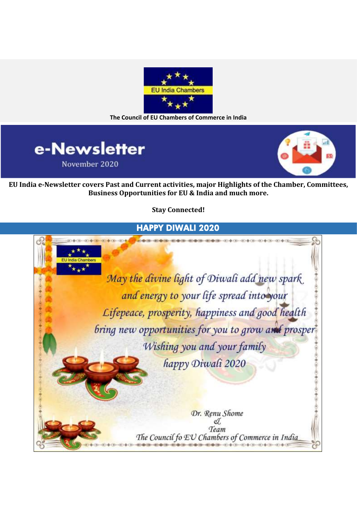

**The Council of EU Chambers of Commerce in India**





**EU India e-Newsletter covers Past and Current activities, major Highlights of the Chamber, Committees, Business Opportunities for EU & India and much more.**

**Stay Connected!**

### HAPPY DIWALI 2020

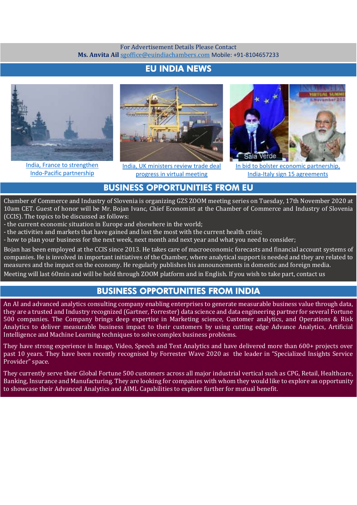#### For Advertisement Details Please Contact **Ms. Anvita Ail** [sgoffice@euindiachambers.com](mailto:sgoffice@euindiachambers.com) Mobile: +91-8104657233

## EU INDIA NEWS



[India, France to strengthen](https://euindiachambers.com/india-france-to-strengthen-indo-pacific-partnership/)  [Indo-Pacific partnership](https://euindiachambers.com/india-france-to-strengthen-indo-pacific-partnership/)



[India, UK ministers review trade deal](https://euindiachambers.com/india-uk-ministers-review-trade-deal-progress-in-virtual-meeting/)  [progress in virtual meeting](https://euindiachambers.com/india-uk-ministers-review-trade-deal-progress-in-virtual-meeting/)



[In bid to bolster economic partnership,](https://euindiachambers.com/in-bid-to-bolster-economic-partnership-india-italy-sign-15-agreements/)  [India-Italy sign 15 agreements](https://euindiachambers.com/in-bid-to-bolster-economic-partnership-india-italy-sign-15-agreements/)

#### BUSINESS OPPORTUNITIES FROM EU

Chamber of Commerce and Industry of Slovenia is organizing GZS ZOOM meeting series on Tuesday, 17th November 2020 at 10am CET. Guest of honor will be Mr. Bojan Ivanc, Chief Economist at the Chamber of Commerce and Industry of Slovenia (CCIS). The topics to be discussed as follows:

- the current economic situation in Europe and elsewhere in the world;

- the activities and markets that have gained and lost the most with the current health crisis;

- how to plan your business for the next week, next month and next year and what you need to consider;

Bojan has been employed at the CCIS since 2013. He takes care of macroeconomic forecasts and financial account systems of companies. He is involved in important initiatives of the Chamber, where analytical support is needed and they are related to measures and the impact on the economy. He regularly publishes his announcements in domestic and foreign media.

Meeting will last 60min and will be held through ZOOM platform and in English. If you wish to take part, contact us

#### BUSINESS OPPORTUNITIES FROM INDIA

An AI and advanced analytics consulting company enabling enterprises to generate measurable business value through data, they are a trusted and Industry recognized (Gartner, Forrester) data science and data engineering partner for several Fortune 500 companies. The Company brings deep expertise in Marketing science, Customer analytics, and Operations & Risk Analytics to deliver measurable business impact to their customers by using cutting edge Advance Analytics, Artificial Intelligence and Machine Learning techniques to solve complex business problems.

They have strong experience in Image, Video, Speech and Text Analytics and have delivered more than 600+ projects over past 10 years. They have been recently recognised by Forrester Wave 2020 as the leader in "Specialized Insights Service Provider" space.

They currently serve their Global Fortune 500 customers across all major industrial vertical such as CPG, Retail, Healthcare, Banking, Insurance and Manufacturing. They are looking for companies with whom they would like to explore an opportunity to showcase their Advanced Analytics and AIML Capabilities to explore further for mutual benefit.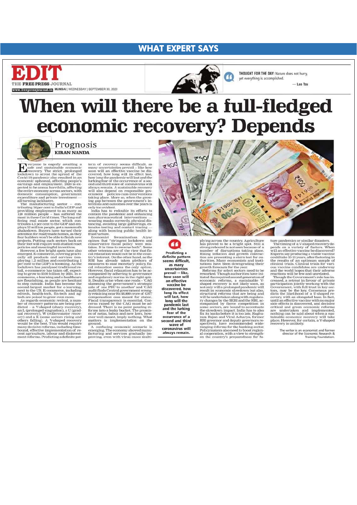#### **WHAT EXPERT SAYS**



www.freepressjournalin MUMBAI | WEDNESDAY | SEPTEMBER 30, 2020



THOUGHT FOR THE DAY: Nature does not hurry, vet everything is accomplished  $-$  Lan Tzu

When will there be a full-fledged economic recovery? Depends

> 66 Predicting a definite pattern<br>seems difficult, as many uncertainties prevail -- like, how soon will an effective vaccine be discovered, how

long its effect<br>will last, how

long will the<br>pandemic last and the lurking fear of the

occurrence of a

second and third wave of

coronavirus will

always remain.



Prognosis **KIRAN NANDA** 

**H** safe and sustainable economic<br>recovery. The strict, prolonged<br>lockdown to arrest the spread of the focation to arrest the spread of the<br>Covid-19 pandemic also resulted in an<br>economic upheaval, affecting people's<br>earnings and employment. 2020 is ex-<br>pected to be annus horribilis, affecting<br>the entire economy across secto the emire economy across sectors, while<br>domestic consumption, government<br>expenditure and private investment<br>all turning lacklustre.

expenditure and private investment and private in<br>systemation and private investment in The manufacturing sector contributing is per earth to hidla is GDP and private in<br>providing employment to as many as infered the most ed-tech, health-tech, fin-tech and ag

next to use os. the<br>children and agency excellent that the children are posed to grow even more<br>detech, health-tech and agence descriptions are being pre-<br>derected as regards economic revival, a num-<br>ber of recovery patter

tern of recovery seems difficult, as many uncertainties prevail -- like how many uncertainties prevail - like how<br>soon will an effective vaccine be discovered, how long will its effect last,<br>how long will an effective vacine be discondinant will last and the<br>production of a second and third wave o ing gap between the government's in-<br>tentions and outcomes over the years is

ing gap between the government's intentions and<br>outcomes over the yevernment's therefores and outcomes over the years is<br>only to evident. <br> Ondia has to redouble its efforts to contain the pandemic and enhancing<br>mon-pharm audit finds Central government wrong-ly retaining near Rs 48,000 crore of GST expension cess meant for states, Ficcal transparency is essential. Concerns cerns raised by the CAG must be adversed. There is no point pouring ever well-meant, imply nothing. What<br>matters is implementation on the<br>ground.

ground.<br>A confusing economic scenario is<br>emerging. The economy showed manu-<br>facturing and services gradually im-<br>proving, even with virus cases multi-



plying across the country. Agriculture has proved to be a bright spot. Still a strong rebound is not seen because of a number of disruptions taking place, Rising inflation and growth contraction are presenting a stern tes structural reforms that are being and will be under<br>taken along with regulator represe by the SEBI and the RBI, accompanied by fieree competition in a<br>companied by fiere competition in some sectors, are bound to accentuat

ture pandemics or similar disasters. The timing of a V-shaped recovery depends on a variety of factors. When will an effective vaccine be discovered? Experts say producing a viable vaccine could take 10-15 years, after fa nounce tainable economic recovery will take<br>place. However, for certain, a V-shaped<br>recovery is unlikely.

The writer is an economist and former<br>director of the Economic Research &<br>Training Foundation.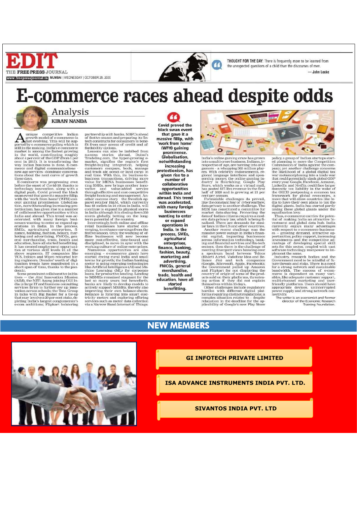



# **E-commerce races ahead despite odds**

Œ

Analysis **KIRAN NANDA** 

 $\begin{tabular}{l} \pmb{A} unique~competitive~ Indian \\ growth model of~ecommerec is  
ported by ecommere policy, which is still in the analysis. The is still in the making. India's ecommerec in the world, contributing roughly about 4 per cent of the GDP (from 1 per end of the twoth; cent in 2015). It is transforming the way Indian business is done. E-commerce and digital communications - however, newage services (domimate conversances days). The best curve of growth these days. \end{tabular}$ 

tions about the next curve of growth<br>these days.<br>E-commerce was progressing even<br>before the onset of Covid-19, thanks to<br>before the onset of Covid-19, thanks to<br>degital push. Covid proved the black<br>was wan event that gave tectionism, has given rise to a number of collaborative opportunities within<br>India and abroad. This trend was ac-India and abroad. This trend was accelerated, with many foreign businesses<br>consesses wanting to enter or expand operations in India. In the process, manches<br>SMEs, agricultural enterprises, finalization simple, say and adv demic.<br>Some prominent collaborative initia-

Some prominent collaborative initials<br>assume the Atal Imporation Mission (AIM), the NITI Aayog joining CGI India<br>(AIM), the NITI Aayog joining CGI India<br>services firm) to further rev up importion across schools; the Tata

partnership with banks, NBFCs ahead of festive season and preparing its finite<br>ch constructs for consumers to benefit from easy access of credit and afficient<br>from easy access of credit and afficient from easy access carr through effective and cost-competitive<br>freight booking and management. An-<br>other success story - the Swedish ap-<br>parel retailer H&M, which currently<br>has 48 outlets in 24 cities in India, will<br>in has 48 outlets in 24 cities

retail retail businesses have started con-<br>verging to enhance earnings from the

retail businesses have started con-<br>retail businesses have started con-<br>respire, to enhance earnings from the<br>fistive season. Only, the working of off-<br>fine businesses will now become more cost-effective, time-bund and<br>dis

Covid proved the black swan event that gave it a massive fillip, with 'work from home' (WFH) gaining prominence. Globalisation, notwithstanding increasing protectionism, has given rise to a number of collaborative opportunities within India and abroad. This trend was accelerated. with many foreign husinesses wanting to enter or expand operations in India. In the process, SMEs, agricultural enterprises finance, banking, fashion, beauty, marketing and advertising, **FMCGs, general** merchandise,<br>trade, health and education, have all started benefitting



India's online gaming craze has grown into a multi-crore business. Indians, irrespective of age, are turning into avidy gamers - a whopping 365 million players. With celebrity endorsements, regional language interfaces an

nan or azzo anno as growing at 21 per cart per amum.<br>
centr per amum.<br>
Formidable challenges do preval.<br>
Ilite the constant fear of cyberwar<br>
data privacy is another challenge. The SEBI has constituted a committee for<br>
mar ern data privacy law, which is being fi<br>nalised. There are demands for similar laws in the US and other countries

Another recent challenge was the<br>massive power outage in India's financial capital, impacting businesses massive power outgoing in main sinesses<br>across information technology, banking and financial services and financial<br>sectors; then there is the challenge of ing and manchas services and university<br>sectors; then there is the challenge of sectors; then there is the challenge of<br>a spectrum band between Telcos and Re-<br>and Table and Re-<br>and the companies and technological linnes J

policy, a group of Indian startups started planning to move the Competition Commission of India against the competition pany; yet another challenge concerns the likelihood of a global digital tax war metamorphosing into a taxing these global giants under the<br>equalisation levy.

equalisation levy.<br>Thus, e-commerce carries the poten-<br>tial of making India an attractive In-<br>vestment and global data hub. India vestment and global data hub. India exercity energy and a multimostic with respect to e-commerce businesses — growing demand, attractive operators protunities, policy support, increasing investments and the competitive ad

software technology manpower to implement the same.<br>
Industry, research bothes and the Government need to be mindful of fucure threats and risks. There is a need for a strong network and sustainable hand<br>
bandwidth. The s



### **NEW MEMBERS**



THOUGHT FOR THE DAY: There is frequently more to be learned from the unexpected questions of a child than the discourses of men.

 $-\int$ John Locke